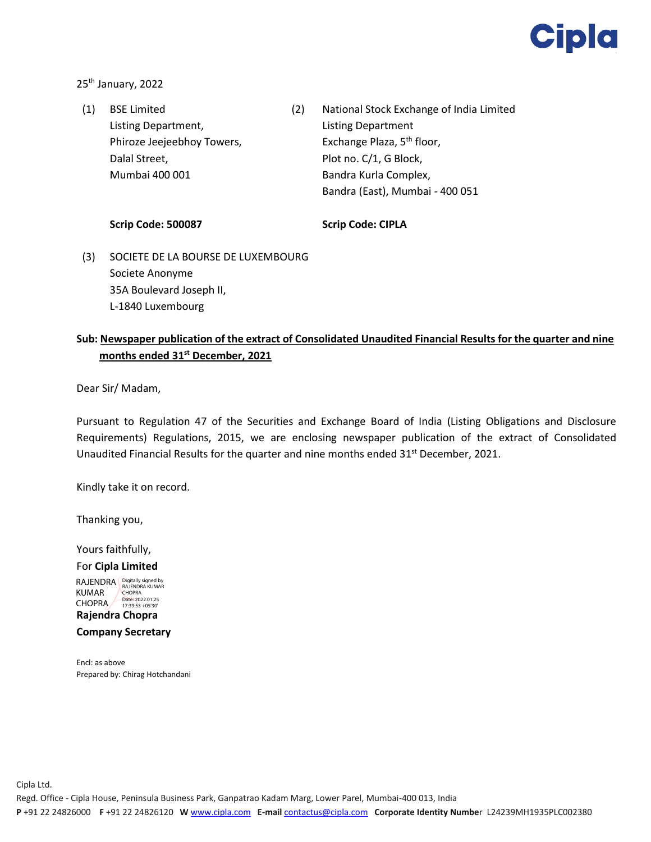

25<sup>th</sup> January, 2022

(1) BSE Limited Listing Department, Phiroze Jeejeebhoy Towers, Dalal Street, Mumbai 400 001 (2) National Stock Exchange of India Limited Listing Department Exchange Plaza, 5<sup>th</sup> floor, Plot no. C/1, G Block, Bandra Kurla Complex, Bandra (East), Mumbai - 400 051

## **Scrip Code: 500087**

**Scrip Code: CIPLA** 

(3) SOCIETE DE LA BOURSE DE LUXEMBOURG Societe Anonyme 35A Boulevard Joseph II, L-1840 Luxembourg

## **Sub: Newspaper publication of the extract of Consolidated Unaudited Financial Results for the quarter and nine months ended 31st December, 2021**

Dear Sir/ Madam,

Pursuant to Regulation 47 of the Securities and Exchange Board of India (Listing Obligations and Disclosure Requirements) Regulations, 2015, we are enclosing newspaper publication of the extract of Consolidated Unaudited Financial Results for the quarter and nine months ended  $31^{st}$  December, 2021.

Kindly take it on record.

Thanking you,

Yours faithfully,

For **Cipla Limited** RAJENDRA Bigitally signed by KUMAR CHOPRA

**Rajendra Chopra** CHOPRA <sup>Date:</sup> 2022.01.25

**Company Secretary**

Encl: as above Prepared by: Chirag Hotchandani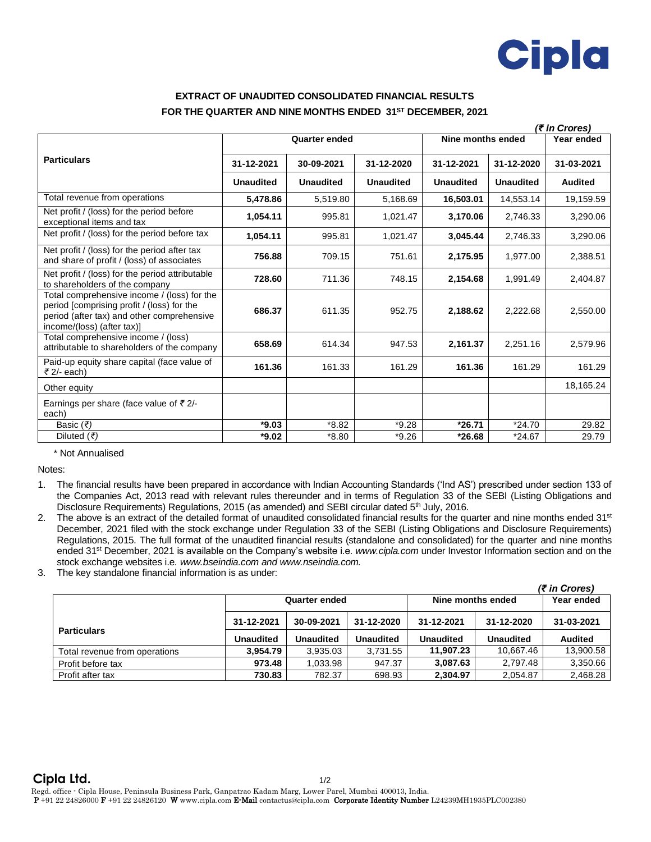

## **EXTRACT OF UNAUDITED CONSOLIDATED FINANCIAL RESULTS FOR THE QUARTER AND NINE MONTHS ENDED 31 ST DECEMBER, 2021**

|                                                                                                                                                                       | (₹ in Crores)        |                  |                  |                   |                  |                |  |
|-----------------------------------------------------------------------------------------------------------------------------------------------------------------------|----------------------|------------------|------------------|-------------------|------------------|----------------|--|
|                                                                                                                                                                       | <b>Quarter ended</b> |                  |                  | Nine months ended |                  | Year ended     |  |
| <b>Particulars</b>                                                                                                                                                    | 31-12-2021           | 30-09-2021       | 31-12-2020       | 31-12-2021        | 31-12-2020       | 31-03-2021     |  |
|                                                                                                                                                                       | <b>Unaudited</b>     | <b>Unaudited</b> | <b>Unaudited</b> | <b>Unaudited</b>  | <b>Unaudited</b> | <b>Audited</b> |  |
| Total revenue from operations                                                                                                                                         | 5,478.86             | 5,519.80         | 5,168.69         | 16,503.01         | 14,553.14        | 19,159.59      |  |
| Net profit / (loss) for the period before<br>exceptional items and tax                                                                                                | 1,054.11             | 995.81           | 1,021.47         | 3,170.06          | 2,746.33         | 3,290.06       |  |
| Net profit / (loss) for the period before tax                                                                                                                         | 1,054.11             | 995.81           | 1,021.47         | 3,045.44          | 2,746.33         | 3,290.06       |  |
| Net profit / (loss) for the period after tax<br>and share of profit / (loss) of associates                                                                            | 756.88               | 709.15           | 751.61           | 2,175.95          | 1,977.00         | 2,388.51       |  |
| Net profit / (loss) for the period attributable<br>to shareholders of the company                                                                                     | 728.60               | 711.36           | 748.15           | 2,154.68          | 1,991.49         | 2,404.87       |  |
| Total comprehensive income / (loss) for the<br>period [comprising profit / (loss) for the<br>period (after tax) and other comprehensive<br>income/(loss) (after tax)] | 686.37               | 611.35           | 952.75           | 2,188.62          | 2,222.68         | 2,550.00       |  |
| Total comprehensive income / (loss)<br>attributable to shareholders of the company                                                                                    | 658.69               | 614.34           | 947.53           | 2,161.37          | 2,251.16         | 2,579.96       |  |
| Paid-up equity share capital (face value of<br>₹ $2/-$ each)                                                                                                          | 161.36               | 161.33           | 161.29           | 161.36            | 161.29           | 161.29         |  |
| Other equity                                                                                                                                                          |                      |                  |                  |                   |                  | 18.165.24      |  |
| Earnings per share (face value of $\bar{\tau}$ 2/-<br>each)                                                                                                           |                      |                  |                  |                   |                  |                |  |
| Basic $(₹)$                                                                                                                                                           | $*9.03$              | $*8.82$          | $*9.28$          | $*26.71$          | $*24.70$         | 29.82          |  |
| Diluted (₹)                                                                                                                                                           | $*9.02$              | $*8.80$          | $*9.26$          | $*26.68$          | $*24.67$         | 29.79          |  |

## \* Not Annualised

Notes:

1. The financial results have been prepared in accordance with Indian Accounting Standards ('Ind AS') prescribed under section 133 of the Companies Act, 2013 read with relevant rules thereunder and in terms of Regulation 33 of the SEBI (Listing Obligations and Disclosure Requirements) Regulations, 2015 (as amended) and SEBI circular dated 5<sup>th</sup> July, 2016.

- 2. The above is an extract of the detailed format of unaudited consolidated financial results for the quarter and nine months ended 31<sup>st</sup> December, 2021 filed with the stock exchange under Regulation 33 of the SEBI (Listing Obligations and Disclosure Requirements) Regulations, 2015. The full format of the unaudited financial results (standalone and consolidated) for the quarter and nine months ended 31 st December, 2021 is available on the Company's website i.e. *www.cipla.com* under Investor Information section and on the stock exchange websites i.e. *www.bseindia.com and www.nseindia.com.*
- 3. The key standalone financial information is as under:

|                               |                      |                  |                  |                   |                  | (₹ in Crores)  |
|-------------------------------|----------------------|------------------|------------------|-------------------|------------------|----------------|
|                               | <b>Quarter ended</b> |                  |                  | Nine months ended |                  | Year ended     |
| <b>Particulars</b>            | 31-12-2021           | 30-09-2021       | 31-12-2020       | 31-12-2021        | 31-12-2020       | 31-03-2021     |
|                               | <b>Unaudited</b>     | <b>Unaudited</b> | <b>Unaudited</b> | <b>Unaudited</b>  | <b>Unaudited</b> | <b>Audited</b> |
| Total revenue from operations | 3.954.79             | 3.935.03         | 3.731.55         | 11.907.23         | 10.667.46        | 13,900.58      |
| Profit before tax             | 973.48               | 1.033.98         | 947.37           | 3,087.63          | 2.797.48         | 3,350.66       |
| Profit after tax              | 730.83               | 782.37           | 698.93           | 2,304.97          | 2,054.87         | 2,468.28       |